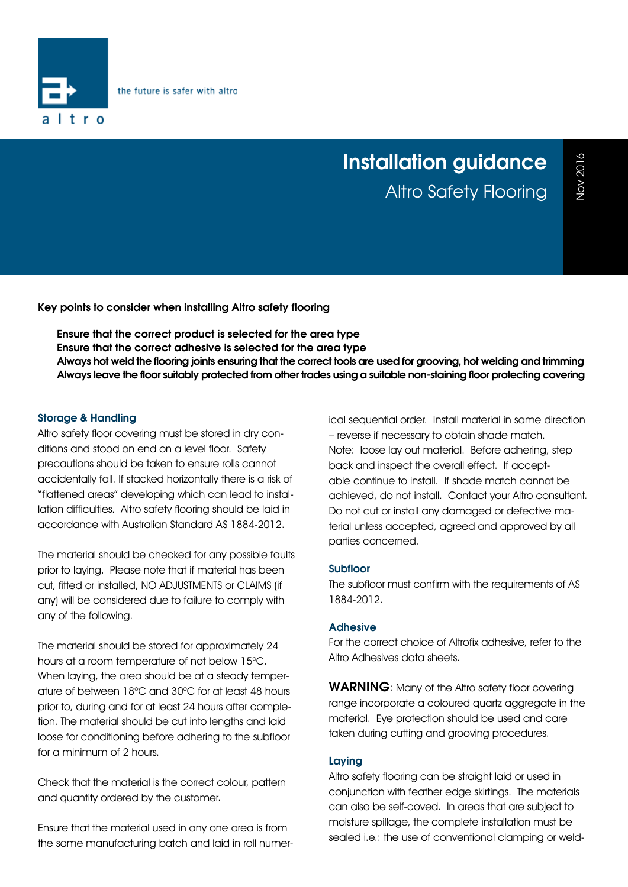

# **Installation guidance** Altro Safety Flooring

**Key points to consider when installing Altro safety flooring**

- **• Ensure that the correct product is selected for the area type**
- **• Ensure that the correct adhesive is selected for the area type**
- **• Always hot weld the flooring joints ensuring that the correct tools are used for grooving, hot welding and trimming**
- **• Always leave the floor suitably protected from other trades using a suitable non-staining floor protecting covering**

### **Storage & Handling**

Altro safety floor covering must be stored in dry conditions and stood on end on a level floor. Safety precautions should be taken to ensure rolls cannot accidentally fall. If stacked horizontally there is a risk of "flattened areas" developing which can lead to installation difficulties. Altro safety flooring should be laid in accordance with Australian Standard AS 1884-2012.

The material should be checked for any possible faults prior to laying. Please note that if material has been cut, fitted or installed, NO ADJUSTMENTS or CLAIMS (if any) will be considered due to failure to comply with any of the following.

The material should be stored for approximately 24 hours at a room temperature of not below 15°C. When laying, the area should be at a steady temperature of between 18°C and 30°C for at least 48 hours prior to, during and for at least 24 hours after completion. The material should be cut into lengths and laid loose for conditioning before adhering to the subfloor for a minimum of 2 hours.

Check that the material is the correct colour, pattern and quantity ordered by the customer.

Ensure that the material used in any one area is from the same manufacturing batch and laid in roll numerical sequential order. Install material in same direction – reverse if necessary to obtain shade match. Note: loose lay out material. Before adhering, step back and inspect the overall effect. If acceptable continue to install. If shade match cannot be achieved, do not install. Contact your Altro consultant. Do not cut or install any damaged or defective material unless accepted, agreed and approved by all parties concerned.

## **Subfloor**

The subfloor must confirm with the requirements of AS 1884-2012.

## **Adhesive**

For the correct choice of Altrofix adhesive, refer to the Altro Adhesives data sheets.

**WARNING**: Many of the Altro safety floor covering range incorporate a coloured quartz aggregate in the material. Eye protection should be used and care taken during cutting and grooving procedures.

## **Laying**

Altro safety flooring can be straight laid or used in conjunction with feather edge skirtings. The materials can also be self-coved. In areas that are subject to moisture spillage, the complete installation must be sealed i.e.: the use of conventional clamping or weld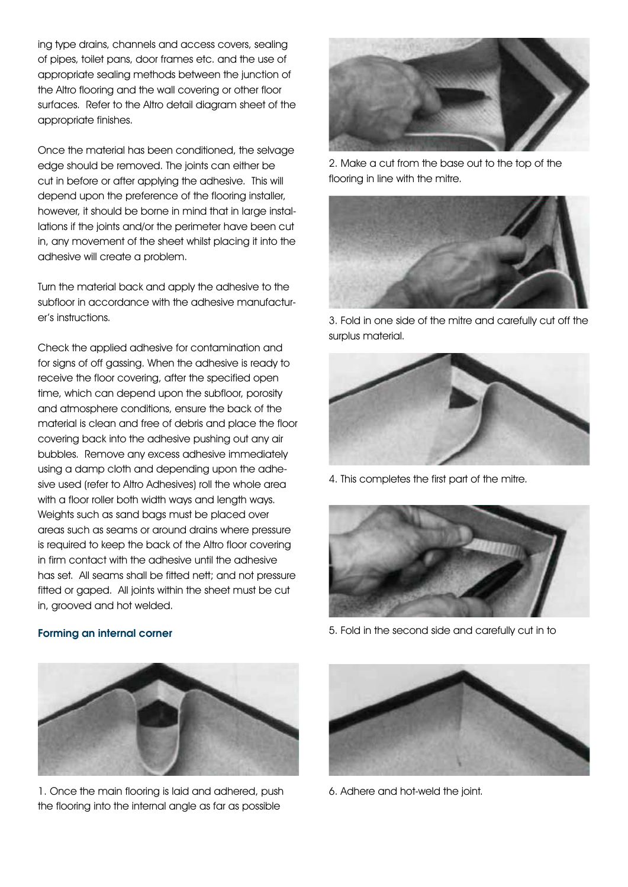ing type drains, channels and access covers, sealing of pipes, toilet pans, door frames etc. and the use of appropriate sealing methods between the junction of the Altro flooring and the wall covering or other floor surfaces. Refer to the Altro detail diagram sheet of the appropriate finishes.

Once the material has been conditioned, the selvage edge should be removed. The joints can either be cut in before or after applying the adhesive. This will depend upon the preference of the flooring installer, however, it should be borne in mind that in large installations if the joints and/or the perimeter have been cut in, any movement of the sheet whilst placing it into the adhesive will create a problem.

Turn the material back and apply the adhesive to the subfloor in accordance with the adhesive manufacturer's instructions.

Check the applied adhesive for contamination and for signs of off gassing. When the adhesive is ready to receive the floor covering, after the specified open time, which can depend upon the subfloor, porosity and atmosphere conditions, ensure the back of the material is clean and free of debris and place the floor covering back into the adhesive pushing out any air bubbles. Remove any excess adhesive immediately using a damp cloth and depending upon the adhesive used (refer to Altro Adhesives) roll the whole area with a floor roller both width ways and length ways. Weights such as sand bags must be placed over areas such as seams or around drains where pressure is required to keep the back of the Altro floor covering in firm contact with the adhesive until the adhesive has set. All seams shall be fitted nett; and not pressure fitted or gaped. All joints within the sheet must be cut in, grooved and hot welded.



2. Make a cut from the base out to the top of the flooring in line with the mitre.



3. Fold in one side of the mitre and carefully cut off the surplus material.



4. This completes the first part of the mitre.



5. Fold in the second side and carefully cut in to



1. Once the main flooring is laid and adhered, push the flooring into the internal angle as far as possible



6. Adhere and hot-weld the joint.

# **Forming an internal corner**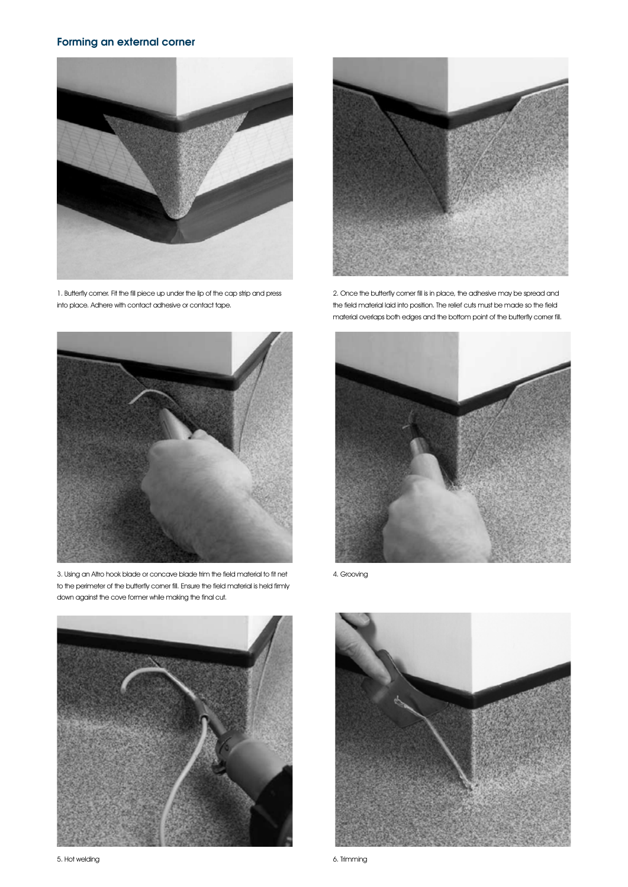# **Forming an external corner**



1. Butterfly corner. Fit the fill piece up under the lip of the cap strip and press into place. Adhere with contact adhesive or contact tape.



2. Once the butterfly corner fill is in place, the adhesive may be spread and the field material laid into position. The relief cuts must be made so the field material overlaps both edges and the bottom point of the butterfly corner fill.



3. Using an Altro hook blade or concave blade trim the field material to fit net to the perimeter of the butterfly corner fill. Ensure the field material is held firmly down against the cove former while making the final cut.





4. Grooving



6. Trimming